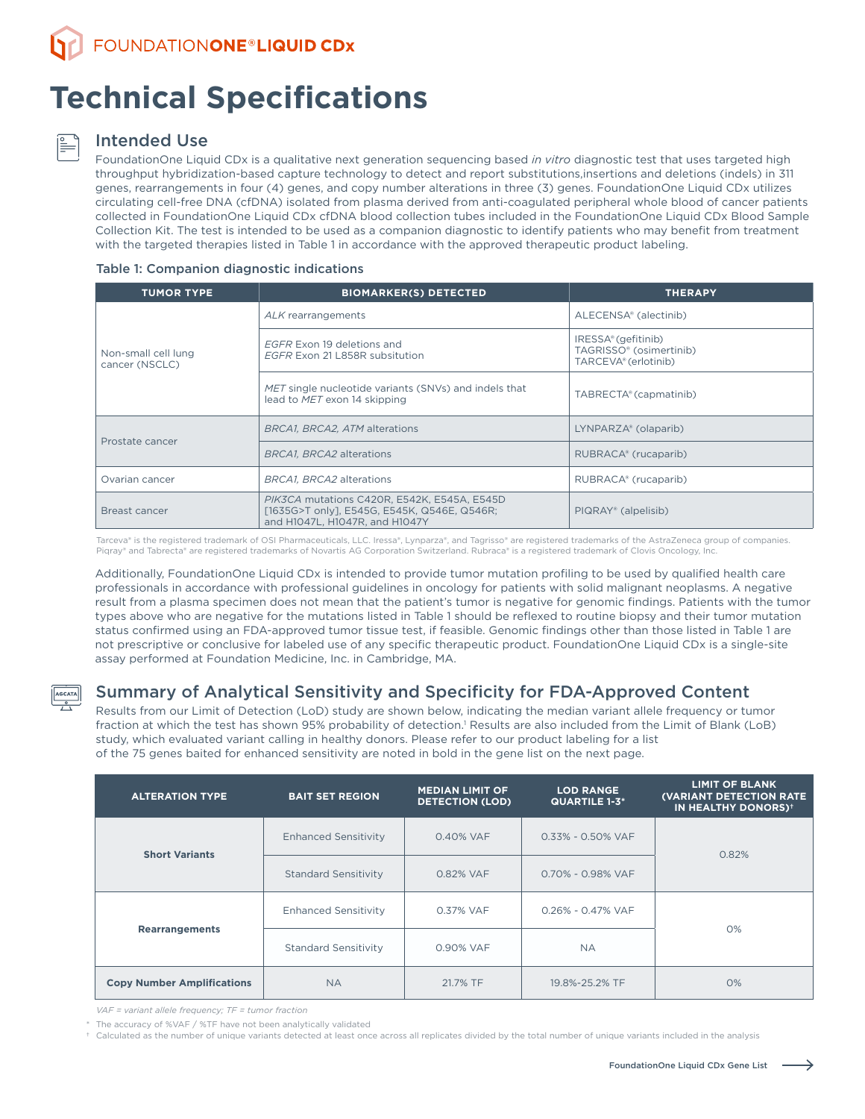# **Technical Specifications**

#### Intended Use

FoundationOne Liquid CDx is a qualitative next generation sequencing based *in vitro* diagnostic test that uses targeted high throughput hybridization-based capture technology to detect and report substitutions,insertions and deletions (indels) in 311 genes, rearrangements in four (4) genes, and copy number alterations in three (3) genes. FoundationOne Liquid CDx utilizes circulating cell-free DNA (cfDNA) isolated from plasma derived from anti-coagulated peripheral whole blood of cancer patients collected in FoundationOne Liquid CDx cfDNA blood collection tubes included in the FoundationOne Liquid CDx Blood Sample Collection Kit. The test is intended to be used as a companion diagnostic to identify patients who may benefit from treatment with the targeted therapies listed in Table 1 in accordance with the approved therapeutic product labeling.

#### Table 1: Companion diagnostic indications

| <b>TUMOR TYPE</b>                     | <b>BIOMARKER(S) DETECTED</b>                                                                                                 | <b>THERAPY</b>                                                         |
|---------------------------------------|------------------------------------------------------------------------------------------------------------------------------|------------------------------------------------------------------------|
|                                       | ALK rearrangements                                                                                                           | ALECENSA® (alectinib)                                                  |
| Non-small cell lung<br>cancer (NSCLC) | EGFR Exon 19 deletions and<br>EGFR Exon 21 L858R subsitution                                                                 | IRESSA® (gefitinib)<br>TAGRISSO® (osimertinib)<br>TARCEVA® (erlotinib) |
|                                       | MET single nucleotide variants (SNVs) and indels that<br>lead to MET exon 14 skipping                                        | TABRECTA® (capmatinib)                                                 |
|                                       | BRCA1, BRCA2, ATM alterations                                                                                                | LYNPARZA® (olaparib)                                                   |
| Prostate cancer                       | BRCA1, BRCA2 alterations                                                                                                     | RUBRACA <sup>®</sup> (rucaparib)                                       |
| Ovarian cancer                        | BRCA1, BRCA2 alterations                                                                                                     | RUBRACA® (rucaparib)                                                   |
| Breast cancer                         | PIK3CA mutations C420R, E542K, E545A, E545D<br>[1635G>T only], E545G, E545K, Q546E, Q546R;<br>and H1047L, H1047R, and H1047Y | PIQRAY® (alpelisib)                                                    |

Tarceva® is the registered trademark of OSI Pharmaceuticals, LLC. Iressa®, Lynparza®, and Tagrisso® are registered trademarks of the AstraZeneca group of companies. Piqray® and Tabrecta® are registered trademarks of Novartis AG Corporation Switzerland. Rubraca® is a registered trademark of Clovis Oncology, Inc.

Additionally, FoundationOne Liquid CDx is intended to provide tumor mutation profiling to be used by qualified health care professionals in accordance with professional guidelines in oncology for patients with solid malignant neoplasms. A negative result from a plasma specimen does not mean that the patient's tumor is negative for genomic findings. Patients with the tumor types above who are negative for the mutations listed in Table 1 should be reflexed to routine biopsy and their tumor mutation status confirmed using an FDA-approved tumor tissue test, if feasible. Genomic findings other than those listed in Table 1 are not prescriptive or conclusive for labeled use of any specific therapeutic product. FoundationOne Liquid CDx is a single-site assay performed at Foundation Medicine, Inc. in Cambridge, MA.

AGCATA

## Summary of Analytical Sensitivity and Specificity for FDA-Approved Content

Results from our Limit of Detection (LoD) study are shown below, indicating the median variant allele frequency or tumor fraction at which the test has shown 95% probability of detection.<sup>1</sup> Results are also included from the Limit of Blank (LoB) study, which evaluated variant calling in healthy donors. Please refer to our product labeling for a list of the 75 genes baited for enhanced sensitivity are noted in bold in the gene list on the next page.

| <b>ALTERATION TYPE</b>            | <b>BAIT SET REGION</b>      | <b>MEDIAN LIMIT OF</b><br><b>DETECTION (LOD)</b> | <b>LOD RANGE</b><br><b>QUARTILE 1-3*</b> | <b>LIMIT OF BLANK</b><br><b>(VARIANT DETECTION RATE)</b><br>IN HEALTHY DONORS) <sup>+</sup> |  |
|-----------------------------------|-----------------------------|--------------------------------------------------|------------------------------------------|---------------------------------------------------------------------------------------------|--|
| <b>Short Variants</b>             | <b>Enhanced Sensitivity</b> | 0.40% VAF                                        | 0.33% - 0.50% VAF                        | 0.82%                                                                                       |  |
|                                   | <b>Standard Sensitivity</b> | 0.82% VAF                                        | 0.70% - 0.98% VAF                        |                                                                                             |  |
|                                   | <b>Enhanced Sensitivity</b> | 0.37% VAF                                        | 0.26% - 0.47% VAF                        |                                                                                             |  |
| <b>Rearrangements</b>             | <b>Standard Sensitivity</b> | 0.90% VAF                                        | <b>NA</b>                                | 0%                                                                                          |  |
| <b>Copy Number Amplifications</b> | <b>NA</b>                   | 21.7% TF                                         | 19.8%-25.2% TF                           | 0%                                                                                          |  |

*VAF = variant allele frequency; TF = tumor fraction*

\* The accuracy of %VAF / %TF have not been analytically validated

† Calculated as the number of unique variants detected at least once across all replicates divided by the total number of unique variants included in the analysis

→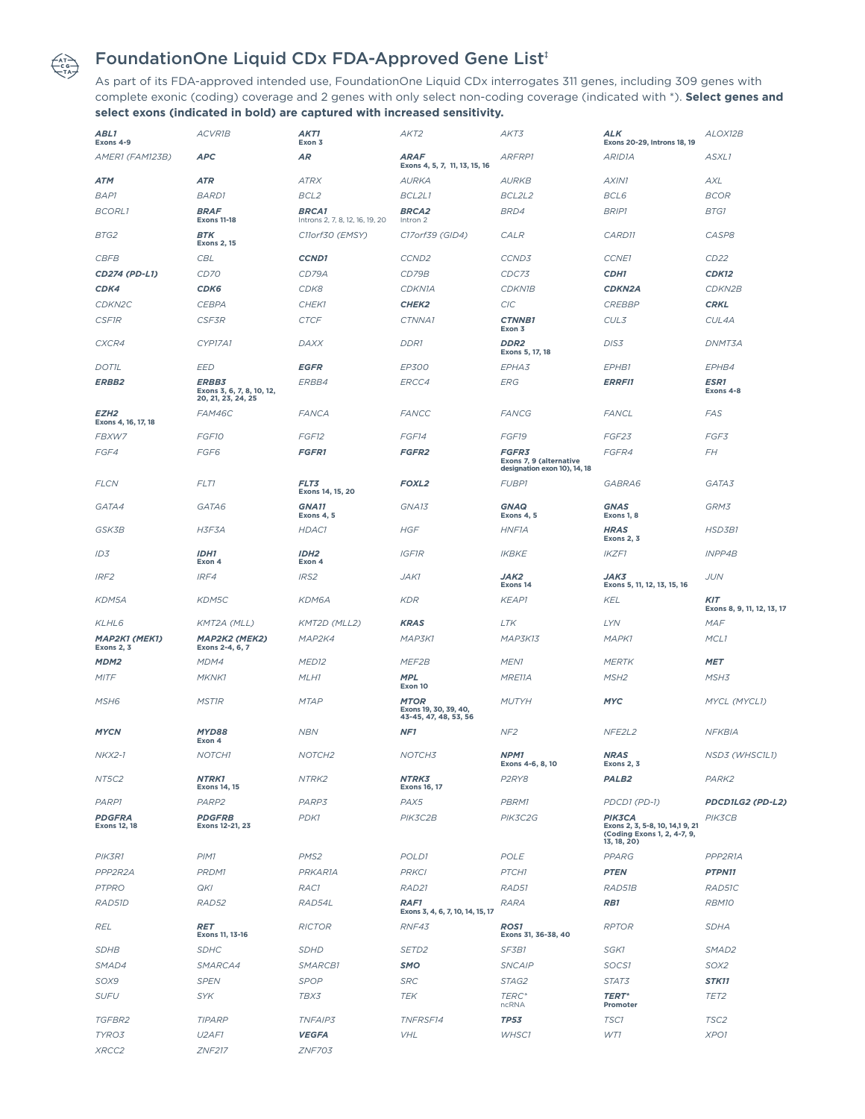

## FoundationOne Liquid CDx FDA-Approved Gene List**‡**

As part of its FDA-approved intended use, FoundationOne Liquid CDx interrogates 311 genes, including 309 genes with complete exonic (coding) coverage and 2 genes with only select non-coding coverage (indicated with \*). **Select genes and select exons (indicated in bold) are captured with increased sensitivity.**

| ABL1<br>Exons 4-9                         | <b>ACVR1B</b>                                            | AKT1<br>Exon 3                                  | AKT <sub>2</sub>                                  | AKT3                                                                    | ALK<br>Exons 20-29, Introns 18, 19                                                      | ALOX12B                                  |
|-------------------------------------------|----------------------------------------------------------|-------------------------------------------------|---------------------------------------------------|-------------------------------------------------------------------------|-----------------------------------------------------------------------------------------|------------------------------------------|
| AMER1 (FAM123B)                           | <b>APC</b>                                               | <b>AR</b>                                       | <b>ARAF</b><br>Exons 4, 5, 7, 11, 13, 15, 16      | <b>ARFRP1</b>                                                           | ARID <sub>1</sub> A                                                                     | ASXL1                                    |
| ATM                                       | <b>ATR</b>                                               | <b>ATRX</b>                                     | <b>AURKA</b>                                      | <b>AURKB</b>                                                            | AXIN1                                                                                   | AXL                                      |
| <b>BAP1</b>                               | <b>BARD1</b>                                             | BCL <sub>2</sub>                                | BCL2L1                                            | BCL2L2                                                                  | BCL6                                                                                    | <b>BCOR</b>                              |
| <b>BCORL1</b>                             | <b>BRAF</b><br><b>Exons 11-18</b>                        | <b>BRCA1</b><br>Introns 2, 7, 8, 12, 16, 19, 20 | <b>BRCA2</b><br>Intron 2                          | BRD4                                                                    | <b>BRIP1</b>                                                                            | BTG1                                     |
| BTG2                                      | <b>BTK</b><br><b>Exons 2, 15</b>                         | C11orf30 (EMSY)                                 | C17orf39 (GID4)                                   | <b>CALR</b>                                                             | CARD11                                                                                  | CASP8                                    |
| <b>CBFB</b>                               | <b>CBL</b>                                               | <b>CCND1</b>                                    | CCND <sub>2</sub>                                 | CCND3                                                                   | <b>CCNE1</b>                                                                            | CD22                                     |
| CD274 (PD-L1)                             | <b>CD70</b>                                              | CD79A                                           | CD79B                                             | CDC73                                                                   | CDH1                                                                                    | <b>CDK12</b>                             |
| CDK4                                      | CDK6                                                     | CDK8                                            | <b>CDKN1A</b>                                     | <b>CDKN1B</b>                                                           | <b>CDKN2A</b>                                                                           | CDKN2B                                   |
| CDKN <sub>2C</sub>                        | <b>CEBPA</b>                                             | CHEK1                                           | CHEK <sub>2</sub>                                 | <b>CIC</b>                                                              | <b>CREBBP</b>                                                                           | <b>CRKL</b>                              |
| <b>CSF1R</b>                              | <b>CSF3R</b>                                             | <b>CTCF</b>                                     | CTNNA1                                            | <b>CTNNB1</b><br>Exon 3                                                 | CUL3                                                                                    | CUL4A                                    |
| CXCR4                                     | CYP17A1                                                  | DAXX                                            | <b>DDR1</b>                                       | DDR <sub>2</sub><br>Exons 5, 17, 18                                     | DIS3                                                                                    | DNMT3A                                   |
| <b>DOTIL</b>                              | <b>EED</b>                                               | <b>EGFR</b>                                     | EP300                                             | EPHA3                                                                   | EPHB1                                                                                   | EPHB4                                    |
| <b>ERBB2</b>                              | ERBB3<br>Exons 3, 6, 7, 8, 10, 12,<br>20, 21, 23, 24, 25 | ERBB4                                           | ERCC4                                             | <b>ERG</b>                                                              | <b>ERRFI1</b>                                                                           | <b>ESR1</b><br>Exons 4-8                 |
| EZH2<br>Exons 4, 16, 17, 18               | FAM46C                                                   | <b>FANCA</b>                                    | <b>FANCC</b>                                      | <b>FANCG</b>                                                            | <b>FANCL</b>                                                                            | <b>FAS</b>                               |
| FBXW7                                     | FGF10                                                    | FGF12                                           | FGF14                                             | FGF19                                                                   | FGF23                                                                                   | FGF3                                     |
| FGF4                                      | FGF6                                                     | <b>FGFR1</b>                                    | FGFR <sub>2</sub>                                 | <b>FGFR3</b><br>Exons 7, 9 (alternative<br>designation exon 10), 14, 18 | FGFR4                                                                                   | FΗ                                       |
| <b>FLCN</b>                               | FLT1                                                     | FLT3<br>Exons 14, 15, 20                        | <b>FOXL2</b>                                      | <b>FUBP1</b>                                                            | GABRA6                                                                                  | GATA3                                    |
| GATA4                                     | GATA6                                                    | <b>GNA11</b><br>Exons 4, 5                      | GNA13                                             | <b>GNAQ</b><br>Exons 4, 5                                               | <b>GNAS</b><br>Exons 1, 8                                                               | GRM3                                     |
| GSK3B                                     | H3F3A                                                    | HDAC1                                           | <b>HGF</b>                                        | <b>HNF1A</b>                                                            | <b>HRAS</b><br><b>Exons 2, 3</b>                                                        | <b>HSD3B1</b>                            |
| ID3                                       | IDH1<br>Exon 4                                           | IDH <sub>2</sub><br>Exon 4                      | <b>IGF1R</b>                                      | <b>IKBKE</b>                                                            | <b>IKZF1</b>                                                                            | <b>INPP4B</b>                            |
| IRF <sub>2</sub>                          | IRF4                                                     | IRS <sub>2</sub>                                | JAK1                                              | JAK2<br>Exons 14                                                        | JAK3<br>Exons 5, 11, 12, 13, 15, 16                                                     | <b>JUN</b>                               |
|                                           |                                                          |                                                 |                                                   |                                                                         |                                                                                         |                                          |
| KDM5A                                     | KDM5C                                                    | KDM6A                                           | <b>KDR</b>                                        | <b>KEAP1</b>                                                            | KEL                                                                                     | <b>KIT</b><br>Exons 8, 9, 11, 12, 13, 17 |
| KLHL6                                     | KMT2A (MLL)                                              | KMT2D (MLL2)                                    | <b>KRAS</b>                                       | LTK                                                                     | LYN                                                                                     | <b>MAF</b>                               |
| <b>MAP2K1 (MEK1)</b><br><b>Exons 2, 3</b> | MAP2K2 (MEK2)<br>Exons 2-4, 6, 7                         | MAP2K4                                          | MAP3K1                                            | MAP3K13                                                                 | <b>MAPK1</b>                                                                            | MCL <sub>1</sub>                         |
| MDM <sub>2</sub>                          | MDM4                                                     | MED <sub>12</sub>                               | MEF2B                                             | MEN <sub>1</sub>                                                        | <b>MERTK</b>                                                                            | <b>MET</b>                               |
| <b>MITF</b>                               | MKNK1                                                    | MLH1                                            | <b>MPL</b><br>Exon 10                             | MRE11A                                                                  | MSH <sub>2</sub>                                                                        | MSH3                                     |
| MSH6                                      | <i>MST1R</i>                                             | <b>MTAP</b>                                     | <b>MTOR</b><br>Exons 19, 30, 39, 40,              | <b>MUTYH</b>                                                            | <b>MYC</b>                                                                              | MYCL (MYCL1)                             |
| <b>MYCN</b>                               | MYD88<br>Exon 4                                          | <b>NBN</b>                                      | 43-45, 47, 48, 53, 56<br>NF <sub>1</sub>          | NF <sub>2</sub>                                                         | NFE2L2                                                                                  | <b>NFKBIA</b>                            |
| <b>NKX2-1</b>                             | NOTCH1                                                   | NOTCH <sub>2</sub>                              | NOTCH3                                            | NPM1<br>Exons 4-6, 8, 10                                                | <b>NRAS</b><br><b>Exons 2, 3</b>                                                        | NSD3 (WHSC1L1)                           |
| NT5C2                                     | <b>NTRK1</b><br><b>Exons 14, 15</b>                      | NTRK2                                           | NTRK3<br><b>Exons 16, 17</b>                      | P <sub>2</sub> RY <sub>8</sub>                                          | PALB <sub>2</sub>                                                                       | PARK2                                    |
| PARP1                                     | PARP <sub>2</sub>                                        | PARP3                                           | PAX5                                              | <b>PBRM1</b>                                                            | PDCD1 (PD-1)                                                                            | PDCD1LG2 (PD-L2)                         |
| <b>PDGFRA</b><br><b>Exons 12, 18</b>      | <b>PDGFRB</b><br>Exons 12-21, 23                         | PDK1                                            | PIK3C2B                                           | PIK3C2G                                                                 | PIK3CA<br>Exons 2, 3, 5-8, 10, 14,1 9, 21<br>(Coding Exons 1, 2, 4-7, 9,<br>13, 18, 20) | <b>PIK3CB</b>                            |
| PIK3R1                                    | PIM1                                                     | PMS <sub>2</sub>                                | POLD1                                             | POLE                                                                    | <b>PPARG</b>                                                                            | PPP2R1A                                  |
| PPP2R2A                                   | PRDM1                                                    | PRKAR1A                                         | <b>PRKCI</b>                                      | PTCH1                                                                   | <b>PTEN</b>                                                                             | PTPN11                                   |
|                                           |                                                          |                                                 |                                                   |                                                                         |                                                                                         |                                          |
| <b>PTPRO</b><br>RAD51D                    | <b>QKI</b><br>RAD52                                      | RAC1<br>RAD54L                                  | RAD21<br>RAF1<br>Exons 3, 4, 6, 7, 10, 14, 15, 17 | RAD51<br><b>RARA</b>                                                    | RAD51B<br>RB1                                                                           | RAD51C<br>RBM10                          |
| <b>REL</b>                                | <b>RET</b><br>Exons 11, 13-16                            | <b>RICTOR</b>                                   | RNF43                                             | <b>ROS1</b><br>Exons 31, 36-38, 40                                      | <b>RPTOR</b>                                                                            | <b>SDHA</b>                              |
| <b>SDHB</b>                               | <b>SDHC</b>                                              | <b>SDHD</b>                                     | SETD <sub>2</sub>                                 | SF3B1                                                                   | SGK1                                                                                    | SMAD <sub>2</sub>                        |
| SMAD4                                     | SMARCA4                                                  | SMARCB1                                         | SMO                                               | <b>SNCAIP</b>                                                           | SOCS1                                                                                   | SOX2                                     |
| SOX9                                      | <b>SPEN</b>                                              | <b>SPOP</b>                                     | <b>SRC</b>                                        | STAG2                                                                   | STAT3                                                                                   | <b>STK11</b>                             |
| <b>SUFU</b>                               | <b>SYK</b>                                               | TBX3                                            | <b>TEK</b>                                        | TERC*<br>ncRNA                                                          | <b>TERT*</b><br>Promoter                                                                | TET <sub>2</sub>                         |
| TGFBR2                                    | <b>TIPARP</b>                                            | <b>TNFAIP3</b>                                  | TNFRSF14                                          | <b>TP53</b>                                                             | TSC1                                                                                    | TSC2                                     |
| TYRO3                                     | U <sub>2</sub> AF1                                       | <b>VEGFA</b>                                    | VHL                                               | WHSC1                                                                   | WT1                                                                                     | XPO1                                     |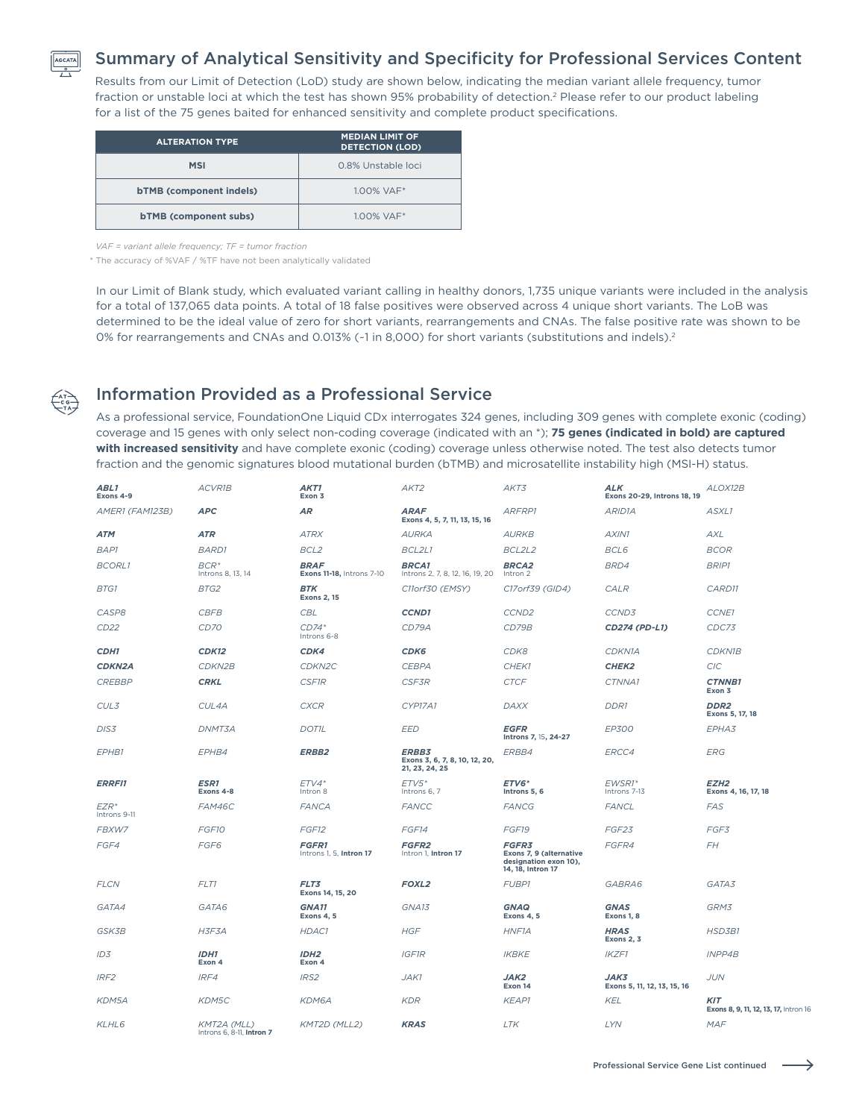

## Summary of Analytical Sensitivity and Specificity for Professional Services Content

Results from our Limit of Detection (LoD) study are shown below, indicating the median variant allele frequency, tumor fraction or unstable loci at which the test has shown 95% probability of detection.<sup>2</sup> Please refer to our product labeling for a list of the 75 genes baited for enhanced sensitivity and complete product specifications.

| <b>ALTERATION TYPE</b>         | <b>MEDIAN LIMIT OF</b><br><b>DETECTION (LOD)</b> |
|--------------------------------|--------------------------------------------------|
| <b>MSI</b>                     | 0.8% Unstable loci                               |
| <b>bTMB</b> (component indels) | $1.00\%$ VAF <sup>*</sup>                        |
| <b>bTMB</b> (component subs)   | $1.00\%$ VAF <sup>*</sup>                        |

*VAF = variant allele frequency; TF = tumor fraction*

\* The accuracy of %VAF / %TF have not been analytically validated

In our Limit of Blank study, which evaluated variant calling in healthy donors, 1,735 unique variants were included in the analysis for a total of 137,065 data points. A total of 18 false positives were observed across 4 unique short variants. The LoB was determined to be the ideal value of zero for short variants, rearrangements and CNAs. The false positive rate was shown to be 0% for rearrangements and CNAs and 0.013% (~1 in 8,000) for short variants (substitutions and indels).<sup>2</sup>



### Information Provided as a Professional Service

As a professional service, FoundationOne Liquid CDx interrogates 324 genes, including 309 genes with complete exonic (coding) coverage and 15 genes with only select non-coding coverage (indicated with an \*); **75 genes (indicated in bold) are captured with increased sensitivity** and have complete exonic (coding) coverage unless otherwise noted. The test also detects tumor fraction and the genomic signatures blood mutational burden (bTMB) and microsatellite instability high (MSI-H) status.

| ABL1<br>Exons 4-9                | <b>ACVR1B</b>                                   | AKT1<br>Exon 3                           | AKT2                                                            | AKT3                                                                                  | <b>ALK</b><br>Exons 20-29, Introns 18, 19 | ALOX12B                                             |
|----------------------------------|-------------------------------------------------|------------------------------------------|-----------------------------------------------------------------|---------------------------------------------------------------------------------------|-------------------------------------------|-----------------------------------------------------|
| AMER1 (FAM123B)                  | <b>APC</b>                                      | <b>AR</b>                                | <b>ARAF</b><br>Exons 4, 5, 7, 11, 13, 15, 16                    | ARFRP1                                                                                | ARID <sub>1</sub> A                       | ASXL1                                               |
| <b>ATM</b>                       | <b>ATR</b>                                      | <b>ATRX</b>                              | <b>AURKA</b>                                                    | <b>AURKB</b>                                                                          | AXIN1                                     | <b>AXL</b>                                          |
| <b>BAP1</b>                      | <b>BARD1</b>                                    | BCL <sub>2</sub>                         | BCL2L1                                                          | BCL2L2                                                                                | BCL6                                      | <b>BCOR</b>                                         |
| <b>BCORL1</b>                    | $BCR^*$<br>Introns 8, 13, 14                    | <b>BRAF</b><br>Exons 11-18, Introns 7-10 | <b>BRCA1</b><br>Introns 2, 7, 8, 12, 16, 19, 20                 | <b>BRCA2</b><br>Intron 2                                                              | BRD4                                      | <b>BRIP1</b>                                        |
| <b>BTG1</b>                      | BTG2                                            | <b>BTK</b><br><b>Exons 2, 15</b>         | C11orf30 (EMSY)                                                 | C17orf39 (GID4)                                                                       | <b>CALR</b>                               | CARD11                                              |
| CASP8                            | <b>CBFB</b>                                     | <b>CBL</b>                               | <b>CCND1</b>                                                    | CCND <sub>2</sub>                                                                     | CCND3                                     | CCNE1                                               |
| CD <sub>22</sub>                 | <b>CD70</b>                                     | $CD74*$<br>Introns 6-8                   | CD79A                                                           | CD79B                                                                                 | CD274 (PD-L1)                             | CDC73                                               |
| CDH1                             | <b>CDK12</b>                                    | CDK4                                     | CDK6                                                            | CDK8                                                                                  | CDKN1A                                    | <b>CDKN1B</b>                                       |
| <b>CDKN2A</b>                    | CDKN2B                                          | CDKN <sub>2</sub> C                      | <b>CEBPA</b>                                                    | CHEK1                                                                                 | CHEK <sub>2</sub>                         | C/C                                                 |
| <b>CREBBP</b>                    | <b>CRKL</b>                                     | <b>CSF1R</b>                             | <b>CSF3R</b>                                                    | <b>CTCF</b>                                                                           | CTNNA1                                    | <b>CTNNB1</b><br>Exon 3                             |
| CUL3                             | CUL4A                                           | <b>CXCR</b>                              | CYP17A1                                                         | <b>DAXX</b>                                                                           | <b>DDR1</b>                               | DDR <sub>2</sub><br>Exons 5, 17, 18                 |
| DIS3                             | DNMT3A                                          | <b>DOTIL</b>                             | <b>EED</b>                                                      | <b>EGFR</b><br>Introns 7, 15, 24-27                                                   | <b>EP300</b>                              | EPHA3                                               |
| EPHB1                            | EPHB4                                           | <b>ERBB2</b>                             | <b>ERBB3</b><br>Exons 3, 6, 7, 8, 10, 12, 20,<br>21, 23, 24, 25 | ERBB4                                                                                 | ERCC4                                     | <b>ERG</b>                                          |
| <b>ERRFI1</b>                    | ESR1<br>Exons 4-8                               | $ETV4*$<br>Intron 8                      | $ETV5*$<br>Introns 6, 7                                         | ETV6*<br>Introns 5, 6                                                                 | EWSR1*<br>Introns 7-13                    | EZH <sub>2</sub><br>Exons 4, 16, 17, 18             |
| EZR <sup>*</sup><br>Introns 9-11 | FAM46C                                          | <b>FANCA</b>                             | <b>FANCC</b>                                                    | <b>FANCG</b>                                                                          | <b>FANCL</b>                              | <b>FAS</b>                                          |
| FBXW7                            | FGF10                                           | FGF12                                    | FGF14                                                           | FGF19                                                                                 | FGF23                                     | FGF3                                                |
| FGF4                             | FGF <sub>6</sub>                                | <b>FGFR1</b><br>Introns 1, 5, Intron 17  | FGFR <sub>2</sub><br>Intron 1, Intron 17                        | <b>FGFR3</b><br>Exons 7, 9 (alternative<br>designation exon 10),<br>14, 18, Intron 17 | <b>FGFR4</b>                              | <b>FH</b>                                           |
| <b>FLCN</b>                      | FLT1                                            | FLT3<br>Exons 14, 15, 20                 | FOXL <sub>2</sub>                                               | <b>FUBP1</b>                                                                          | GABRA6                                    | GATA3                                               |
| GATA4                            | GATA6                                           | <b>GNA11</b><br>Exons 4, 5               | GNA13                                                           | <b>GNAQ</b><br><b>Exons 4, 5</b>                                                      | <b>GNAS</b><br>Exons 1, 8                 | GRM3                                                |
| <b>GSK3B</b>                     | H3F3A                                           | HDAC1                                    | <b>HGF</b>                                                      | <b>HNF1A</b>                                                                          | <b>HRAS</b><br><b>Exons 2, 3</b>          | <b>HSD3B1</b>                                       |
| ID3                              | IDH1<br>Exon 4                                  | IDH <sub>2</sub><br>Exon 4               | <b>IGF1R</b>                                                    | <b>IKBKE</b>                                                                          | <b>IKZF1</b>                              | <b>INPP4B</b>                                       |
| IRF2                             | IRF4                                            | IRS2                                     | JAK1                                                            | JAK2<br>Exon 14                                                                       | JAK3<br>Exons 5, 11, 12, 13, 15, 16       | <b>JUN</b>                                          |
| KDM5A                            | KDM5C                                           | KDM6A                                    | <b>KDR</b>                                                      | <b>KEAP1</b>                                                                          | <b>KEL</b>                                | <b>KIT</b><br>Exons 8, 9, 11, 12, 13, 17, Intron 16 |
| KLHL6                            | <b>KMT2A (MLL)</b><br>Introns 6, 8-11, Intron 7 | KMT2D (MLL2)                             | <b>KRAS</b>                                                     | LTK                                                                                   | LYN                                       | <b>MAF</b>                                          |